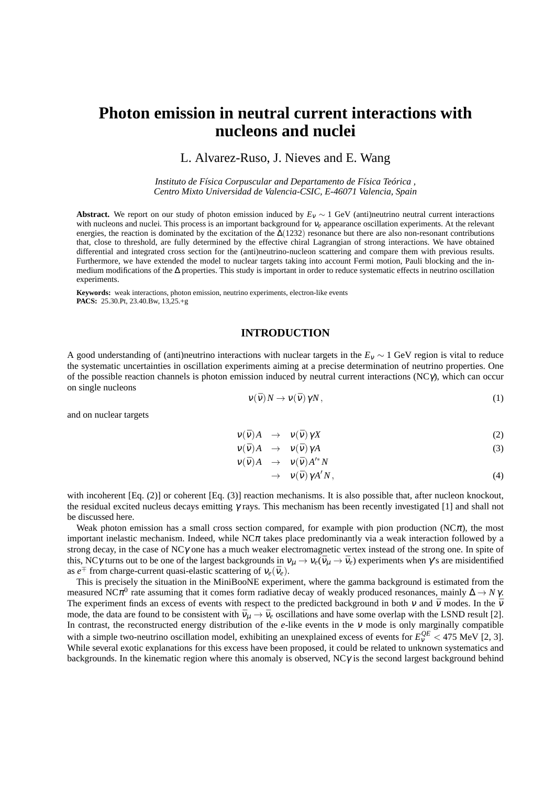# **Photon emission in neutral current interactions with nucleons and nuclei**

L. Alvarez-Ruso, J. Nieves and E. Wang

*Instituto de Física Corpuscular and Departamento de Física Teórica , Centro Mixto Universidad de Valencia-CSIC, E-46071 Valencia, Spain*

**Abstract.** We report on our study of photon emission induced by  $E_V \sim 1$  GeV (anti)neutrino neutral current interactions with nucleons and nuclei. This process is an important background for <sup>ν</sup>*e* appearance oscillation experiments. At the relevant energies, the reaction is dominated by the excitation of the  $\Delta(1232)$  resonance but there are also non-resonant contributions that, close to threshold, are fully determined by the effective chiral Lagrangian of strong interactions. We have obtained differential and integrated cross section for the (anti)neutrino-nucleon scattering and compare them with previous results. Furthermore, we have extended the model to nuclear targets taking into account Fermi motion, Pauli blocking and the inmedium modifications of the ∆ properties. This study is important in order to reduce systematic effects in neutrino oscillation experiments.

**Keywords:** weak interactions, photon emission, neutrino experiments, electron-like events **PACS:** 25.30.Pt, 23.40.Bw, 13,25.+g

# **INTRODUCTION**

A good understanding of (anti)neutrino interactions with nuclear targets in the *E*<sup>ν</sup> ∼ 1 GeV region is vital to reduce the systematic uncertainties in oscillation experiments aiming at a precise determination of neutrino properties. One of the possible reaction channels is photon emission induced by neutral current interactions (NC $\gamma$ ), which can occur on single nucleons

$$
v(\bar{v})N \to v(\bar{v})\gamma N, \qquad (1)
$$

and on nuclear targets

$$
\nu(\bar{\nu})A \rightarrow \nu(\bar{\nu})\gamma X \tag{2}
$$

$$
\nu(\bar{\nu})A \rightarrow \nu(\bar{\nu})\gamma A \tag{3}
$$

$$
v(\bar{v})A \rightarrow v(\bar{v})A'^*N
$$

$$
\rightarrow \quad \nu(\bar{\nu}) \, \gamma A' N, \tag{4}
$$

with incoherent [Eq. (2)] or coherent [Eq. (3)] reaction mechanisms. It is also possible that, after nucleon knockout, the residual excited nucleus decays emitting γ rays. This mechanism has been recently investigated [1] and shall not be discussed here.

Weak photon emission has a small cross section compared, for example with pion production ( $NC\pi$ ), the most important inelastic mechanism. Indeed, while  $N_c\pi$  takes place predominantly via a weak interaction followed by a strong decay, in the case of NCγ one has a much weaker electromagnetic vertex instead of the strong one. In spite of this, NC $\gamma$  turns out to be one of the largest backgrounds in  $v_\mu \to v_e(\bar{v}_\mu \to \bar{v}_e)$  experiments when  $\gamma$ 's are misidentified as  $e^{\mp}$  from charge-current quasi-elastic scattering of  $v_e(\bar{v}_e)$ .

This is precisely the situation in the MiniBooNE experiment, where the gamma background is estimated from the measured NC $\pi^0$  rate assuming that it comes form radiative decay of weakly produced resonances, mainly  $\Delta \to N \gamma$ . The experiment finds an excess of events with respect to the predicted background in both  $v$  and  $\bar{v}$  modes. In the  $\bar{v}$ mode, the data are found to be consistent with  $\bar{v}_{\mu} \to \bar{v}_{e}$  oscillations and have some overlap with the LSND result [2]. In contrast, the reconstructed energy distribution of the *e*-like events in the <sup>ν</sup> mode is only marginally compatible with a simple two-neutrino oscillation model, exhibiting an unexplained excess of events for  $E_V^{QE}$  < 475 MeV [2, 3]. While several exotic explanations for this excess have been proposed, it could be related to unknown systematics and backgrounds. In the kinematic region where this anomaly is observed, NCγ is the second largest background behind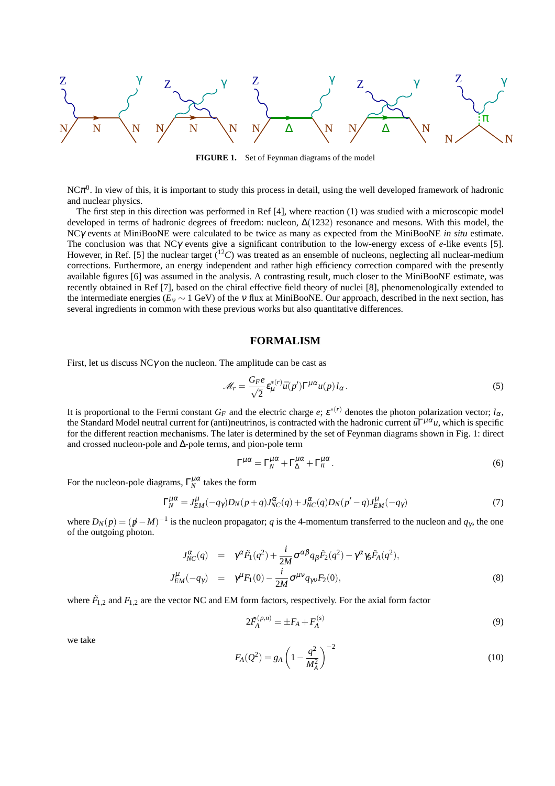

**FIGURE 1.** Set of Feynman diagrams of the model

NC $\pi^0$ . In view of this, it is important to study this process in detail, using the well developed framework of hadronic and nuclear physics.

The first step in this direction was performed in Ref [4], where reaction (1) was studied with a microscopic model developed in terms of hadronic degrees of freedom: nucleon, ∆(1232) resonance and mesons. With this model, the NCγ events at MiniBooNE were calculated to be twice as many as expected from the MiniBooNE *in situ* estimate. The conclusion was that NCγ events give a significant contribution to the low-energy excess of *e*-like events [5]. However, in Ref. [5] the nuclear target  $(^{12}C)$  was treated as an ensemble of nucleons, neglecting all nuclear-medium corrections. Furthermore, an energy independent and rather high efficiency correction compared with the presently available figures [6] was assumed in the analysis. A contrasting result, much closer to the MiniBooNE estimate, was recently obtained in Ref [7], based on the chiral effective field theory of nuclei [8], phenomenologically extended to the intermediate energies ( $E_V \sim 1$  GeV) of the v flux at MiniBooNE. Our approach, described in the next section, has several ingredients in common with these previous works but also quantitative differences.

#### **FORMALISM**

First, let us discuss  $NC\gamma$  on the nucleon. The amplitude can be cast as

$$
\mathcal{M}_r = \frac{G_F e}{\sqrt{2}} \varepsilon_\mu^{*(r)} \bar{u}(p') \Gamma^{\mu \alpha} u(p) l_\alpha \,. \tag{5}
$$

It is proportional to the Fermi constant  $G_F$  and the electric charge  $e$ ;  $\varepsilon^{*(r)}$  denotes the photon polarization vector;  $l_\alpha$ , the Standard Model neutral current for (anti)neutrinos, is contracted with the hadronic current  $\bar{u}\Gamma^{\mu\alpha}u$ , which is specific for the different reaction mechanisms. The later is determined by the set of Feynman diagrams shown in Fig. 1: direct and crossed nucleon-pole and ∆-pole terms, and pion-pole term

$$
\Gamma^{\mu\alpha} = \Gamma^{\mu\alpha}_{N} + \Gamma^{\mu\alpha}_{\Delta} + \Gamma^{\mu\alpha}_{\pi}.
$$
\n(6)

For the nucleon-pole diagrams,  $\Gamma_N^{\mu\alpha}$  takes the form

$$
\Gamma_N^{\mu\alpha} = J_{EM}^{\mu}(-q_\gamma)D_N(p+q)J_{NC}^{\alpha}(q) + J_{NC}^{\alpha}(q)D_N(p'-q)J_{EM}^{\mu}(-q_\gamma)
$$
\n<sup>(7)</sup>

where  $D_N(p) = (p - M)^{-1}$  is the nucleon propagator; *q* is the 4-momentum transferred to the nucleon and  $q_\gamma$ , the one of the outgoing photon.

$$
J_{NC}^{\alpha}(q) = \gamma^{\alpha} \tilde{F}_1(q^2) + \frac{i}{2M} \sigma^{\alpha\beta} q_{\beta} \tilde{F}_2(q^2) - \gamma^{\alpha} \gamma_5 \tilde{F}_A(q^2),
$$
  
\n
$$
J_{EM}^{\mu}(-q_{\gamma}) = \gamma^{\mu} F_1(0) - \frac{i}{2M} \sigma^{\mu\nu} q_{\gamma\nu} F_2(0),
$$
\n(8)

where  $\tilde{F}_{1,2}$  and  $F_{1,2}$  are the vector NC and EM form factors, respectively. For the axial form factor

$$
2\tilde{F}_A^{(p,n)} = \pm F_A + F_A^{(s)}
$$
\n(9)

we take

$$
F_A(Q^2) = g_A \left(1 - \frac{q^2}{M_A^2}\right)^{-2}
$$
\n(10)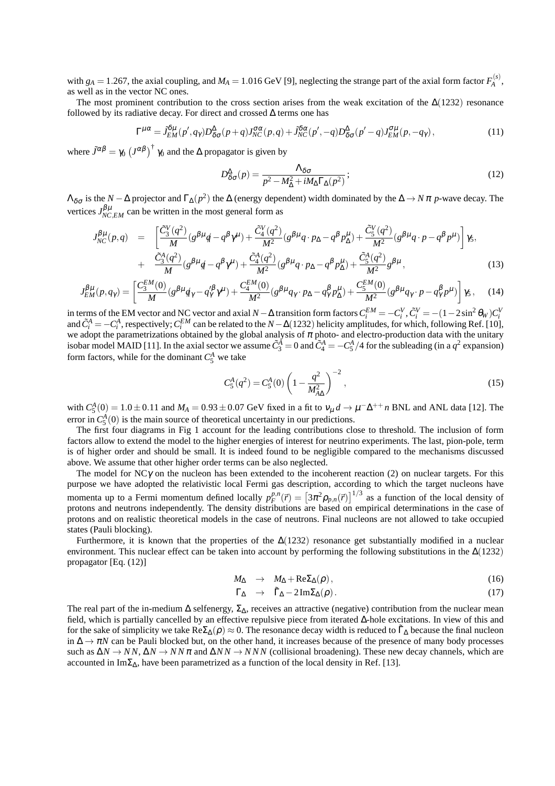with  $g_A = 1.267$ , the axial coupling, and  $M_A = 1.016$  GeV [9], neglecting the strange part of the axial form factor  $F_A^{(s)}$ *A* , as well as in the vector NC ones.

The most prominent contribution to the cross section arises from the weak excitation of the  $\Delta(1232)$  resonance followed by its radiative decay. For direct and crossed  $\Delta$  terms one has

$$
\Gamma^{\mu\alpha} = J_{EM}^{\delta\mu}(p', q_\gamma) D_{\delta\sigma}^{\Delta}(p+q) J_{NC}^{\sigma\alpha}(p, q) + J_{NC}^{\delta\alpha}(p', -q) D_{\delta\sigma}^{\Delta}(p'-q) J_{EM}^{\sigma\mu}(p, -q_\gamma), \tag{11}
$$

where  $\tilde{J}^{\alpha\beta} = \gamma_0 \left(J^{\alpha\beta}\right)^{\dagger} \gamma_0$  and the  $\Delta$  propagator is given by

$$
D^{\Delta}_{\delta\sigma}(p) = \frac{\Lambda_{\delta\sigma}}{p^2 - M^2_{\Delta} + iM_{\Delta}\Gamma_{\Delta}(p^2)};
$$
\n(12)

 $\Lambda_{\delta\sigma}$  is the *N* −  $\Delta$  projector and  $\Gamma_{\Delta}(p^2)$  the  $\Delta$  (energy dependent) width dominated by the  $\Delta \to N\pi$  *p*-wave decay. The vertices  $J_{NC,EM}^{\beta\mu}$  can be written in the most general form as

$$
J_{NC}^{\beta\mu}(p,q) = \left[\frac{\tilde{C}_{3}^{V}(q^{2})}{M}(g^{\beta\mu}q - q^{\beta}\gamma^{\mu}) + \frac{\tilde{C}_{4}^{V}(q^{2})}{M^{2}}(g^{\beta\mu}q \cdot p_{\Delta} - q^{\beta}p_{\Delta}^{\mu}) + \frac{\tilde{C}_{5}^{V}(q^{2})}{M^{2}}(g^{\beta\mu}q \cdot p - q^{\beta}p^{\mu})\right]\gamma_{5},
$$
  
+ 
$$
\frac{\tilde{C}_{3}^{A}(q^{2})}{M}(g^{\beta\mu}q - q^{\beta}\gamma^{\mu}) + \frac{\tilde{C}_{4}^{A}(q^{2})}{M^{2}}(g^{\beta\mu}q \cdot p_{\Delta} - q^{\beta}p_{\Delta}^{\mu}) + \frac{\tilde{C}_{5}^{A}(q^{2})}{M^{2}}g^{\beta\mu},
$$
(13)

$$
J_{EM}^{\beta\mu}(p,q_{\gamma}) = \left[\frac{C_3^{EM}(0)}{M}(g^{\beta\mu}q_{\gamma} - q_{\gamma}^{\prime\beta}\gamma^{\mu}) + \frac{C_4^{EM}(0)}{M^2}(g^{\beta\mu}q_{\gamma} \cdot p_{\Delta} - q_{\gamma}^{\beta}p_{\Delta}^{\mu}) + \frac{C_5^{EM}(0)}{M^2}(g^{\beta\mu}q_{\gamma} \cdot p - q_{\gamma}^{\beta}p^{\mu})\right]\gamma_5, \quad (14)
$$

in terms of the EM vector and NC vector and axial  $N - \Delta$  transition form factors  $C_i^{EM} = -C_i^V$ ,  $\tilde{C}_i^V = -(1 - 2 \sin^2 \theta_W) C_i^V$ <br>and  $\tilde{C}_i^A = -C_i^A$ , respectively;  $C_i^{EM}$  can be related to the  $N - \Delta(1232)$  helicity amplit isobar model MAID [11]. In the axial sector we assume  $\tilde{C}_3^A = 0$  and  $\tilde{C}_4^A = -C_5^A/4$  for the subleading (in a  $q^2$  expansion) form factors, while for the dominant  $C_5^A$  we take

$$
C_5^A(q^2) = C_5^A(0) \left(1 - \frac{q^2}{M_{A\Delta}^2}\right)^{-2},\tag{15}
$$

with  $C_5^A(0) = 1.0 \pm 0.11$  and  $M_A = 0.93 \pm 0.07$  GeV fixed in a fit to  $v_\mu d \to \mu^- \Delta^{++} n$  BNL and ANL data [12]. The error in  $C_5^A(0)$  is the main source of theoretical uncertainty in our predictions.

The first four diagrams in Fig 1 account for the leading contributions close to threshold. The inclusion of form factors allow to extend the model to the higher energies of interest for neutrino experiments. The last, pion-pole, term is of higher order and should be small. It is indeed found to be negligible compared to the mechanisms discussed above. We assume that other higher order terms can be also neglected.

The model for  $N\mathcal{C}\gamma$  on the nucleon has been extended to the incoherent reaction (2) on nuclear targets. For this purpose we have adopted the relativistic local Fermi gas description, according to which the target nucleons have momenta up to a Fermi momentum defined locally  $p_F^{p,n}(\vec{r}) = \left[3\pi^2 \rho_{p,n}(\vec{r})\right]^{1/3}$  as a function of the local density of protons and neutrons independently. The density distributions are based on empirical determinations in the case of protons and on realistic theoretical models in the case of neutrons. Final nucleons are not allowed to take occupied states (Pauli blocking).

Furthermore, it is known that the properties of the  $\Delta(1232)$  resonance get substantially modified in a nuclear environment. This nuclear effect can be taken into account by performing the following substitutions in the ∆(1232) propagator [Eq. (12)]

$$
M_{\Delta} \rightarrow M_{\Delta} + \text{Re}\Sigma_{\Delta}(\rho), \qquad (16)
$$

$$
\Gamma_{\Delta} \rightarrow \tilde{\Gamma}_{\Delta} - 2\,\mathrm{Im}\Sigma_{\Delta}(\rho). \tag{17}
$$

The real part of the in-medium  $\Delta$  selfenergy,  $\Sigma_{\Delta}$ , receives an attractive (negative) contribution from the nuclear mean field, which is partially cancelled by an effective repulsive piece from iterated ∆-hole excitations. In view of this and for the sake of simplicity we take  $\text{Re}\Sigma_{\Delta}(\rho) \approx 0$ . The resonance decay width is reduced to  $\tilde{\Gamma}_{\Delta}$  because the final nucleon in  $\Delta \to \pi N$  can be Pauli blocked but, on the other hand, it increases because of the presence of many body processes such as  $\Delta N \to NN$ ,  $\Delta N \to NN \pi$  and  $\Delta NN \to NN N$  (collisional broadening). These new decay channels, which are accounted in Im $\Sigma_{\Lambda}$ , have been parametrized as a function of the local density in Ref. [13].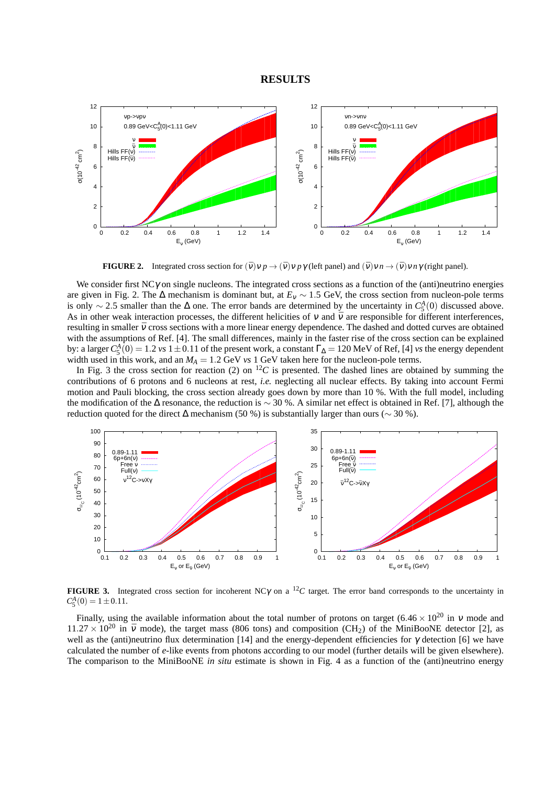#### **RESULTS**



**FIGURE 2.** Integrated cross section for  $(\bar{v})v p \rightarrow (\bar{v})v p \gamma$  (left panel) and  $(\bar{v})v n \rightarrow (\bar{v})v n \gamma$  (right panel).

We consider first  $NC\gamma$  on single nucleons. The integrated cross sections as a function of the (anti)neutrino energies are given in Fig. 2. The ∆ mechanism is dominant but, at *E*<sup>ν</sup> ∼ 1.5 GeV, the cross section from nucleon-pole terms is only ~ 2.5 smaller than the  $\Delta$  one. The error bands are determined by the uncertainty in  $C_5^A(0)$  discussed above. As in other weak interaction processes, the different helicities of  $v$  and  $\bar{v}$  are responsible for different interferences, resulting in smaller  $\bar{v}$  cross sections with a more linear energy dependence. The dashed and dotted curves are obtained with the assumptions of Ref. [4]. The small differences, mainly in the faster rise of the cross section can be explained by: a larger  $C_5^A(0) = 1.2$  *vs* 1 ± 0.11 of the present work, a constant  $\Gamma_{\Delta} = 120$  MeV of Ref, [4] *vs* the energy dependent width used in this work, and an  $M_A = 1.2$  GeV *vs* 1 GeV taken here for the nucleon-pole terms.

In Fig. 3 the cross section for reaction (2) on  ${}^{12}C$  is presented. The dashed lines are obtained by summing the contributions of 6 protons and 6 nucleons at rest, *i.e.* neglecting all nuclear effects. By taking into account Fermi motion and Pauli blocking, the cross section already goes down by more than 10 %. With the full model, including the modification of the ∆ resonance, the reduction is ∼ 30 %. A similar net effect is obtained in Ref. [7], although the reduction quoted for the direct  $\Delta$  mechanism (50 %) is substantially larger than ours ( $\sim$  30 %).



**FIGURE 3.** Integrated cross section for incoherent NC $\gamma$  on a <sup>12</sup>C target. The error band corresponds to the uncertainty in  $C_5^A(0) = 1 \pm 0.11.$ 

Finally, using the available information about the total number of protons on target  $(6.46 \times 10^{20} \text{ in } v \text{ mode and})$  $11.27 \times 10^{20}$  in  $\bar{v}$  mode), the target mass (806 tons) and composition (CH<sub>2</sub>) of the MiniBooNE detector [2], as well as the (anti)neutrino flux determination [14] and the energy-dependent efficiencies for  $\gamma$  detection [6] we have calculated the number of *e*-like events from photons according to our model (further details will be given elsewhere). The comparison to the MiniBooNE *in situ* estimate is shown in Fig. 4 as a function of the (anti)neutrino energy